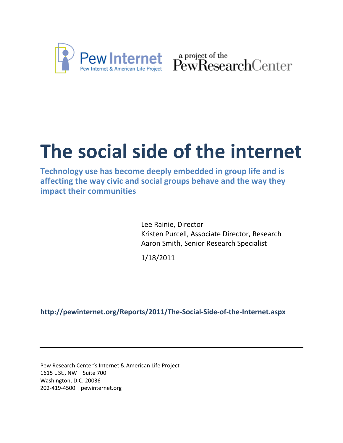

Pew Internet & American Life Project PewResearchCenter

# **The social side of the internet**

**Technology use has become deeply embedded in group life and is affecting the way civic and social groups behave and the way they impact their communities**

> Lee Rainie, Director Kristen Purcell, Associate Director, Research Aaron Smith, Senior Research Specialist

1/18/2011

**http://pewinternet.org/Reports/2011/The‐Social‐Side‐of‐the‐Internet.aspx**

Pew Research Center's Internet & American Life Project 1615 L St., NW – Suite 700 Washington, D.C. 20036 202‐419‐4500 | pewinternet.org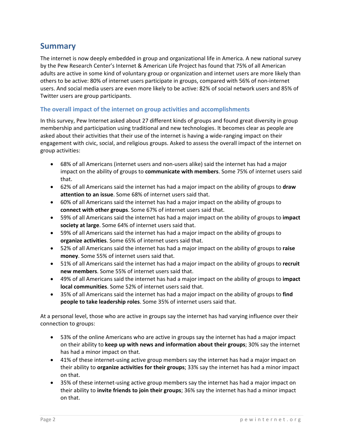# **Summary**

The internet is now deeply embedded in group and organizational life in America. A new national survey by the Pew Research Center's Internet & American Life Project has found that 75% of all American adults are active in some kind of voluntary group or organization and internet users are more likely than others to be active: 80% of internet users participate in groups, compared with 56% of non‐internet users. And social media users are even more likely to be active: 82% of social network users and 85% of Twitter users are group participants.

#### **The overall impact of the internet on group activities and accomplishments**

In this survey, Pew Internet asked about 27 different kinds of groups and found great diversity in group membership and participation using traditional and new technologies. It becomes clear as people are asked about their activities that their use of the internet is having a wide-ranging impact on their engagement with civic, social, and religious groups. Asked to assess the overall impact of the internet on group activities:

- 68% of all Americans (internet users and non-users alike) said the internet has had a major impact on the ability of groups to **communicate with members**. Some 75% of internet users said that.
- 62% of all Americans said the internet has had a major impact on the ability of groups to **draw attention to an issue**. Some 68% of internet users said that.
- 60% of all Americans said the internet has had a major impact on the ability of groups to **connect with other groups**. Some 67% of internet users said that.
- 59% of all Americans said the internet has had a major impact on the ability of groups to **impact society at large**. Some 64% of internet users said that.
- 59% of all Americans said the internet has had a major impact on the ability of groups to **organize activities**. Some 65% of internet users said that.
- 52% of all Americans said the internet has had a major impact on the ability of groups to **raise money**. Some 55% of internet users said that.
- 51% of all Americans said the internet has had a major impact on the ability of groups to **recruit new members**. Some 55% of internet users said that.
- 49% of all Americans said the internet has had a major impact on the ability of groups to **impact local communities**. Some 52% of internet users said that.
- 35% of all Americans said the internet has had a major impact on the ability of groups to **find people to take leadership roles**. Some 35% of internet users said that.

At a personal level, those who are active in groups say the internet has had varying influence over their connection to groups:

- 53% of the online Americans who are active in groups say the internet has had a major impact on their ability to **keep up with news and information about their groups**; 30% say the internet has had a minor impact on that.
- 41% of these internet-using active group members say the internet has had a major impact on their ability to **organize activities for their groups**; 33% say the internet has had a minor impact on that.
- 35% of these internet-using active group members say the internet has had a major impact on their ability to **invite friends to join their groups**; 36% say the internet has had a minor impact on that.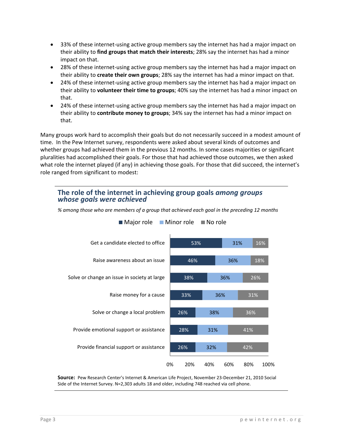- 33% of these internet-using active group members say the internet has had a major impact on their ability to **find groups that match their interests**; 28% say the internet has had a minor impact on that.
- 28% of these internet-using active group members say the internet has had a major impact on their ability to **create their own groups**; 28% say the internet has had a minor impact on that.
- 24% of these internet‐using active group members say the internet has had a major impact on their ability to **volunteer their time to groups**; 40% say the internet has had a minor impact on that.
- 24% of these internet‐using active group members say the internet has had a major impact on their ability to **contribute money to groups**; 34% say the internet has had a minor impact on that.

Many groups work hard to accomplish their goals but do not necessarily succeed in a modest amount of time. In the Pew Internet survey, respondents were asked about several kinds of outcomes and whether groups had achieved them in the previous 12 months. In some cases majorities or significant pluralities had accomplished their goals. For those that had achieved those outcomes, we then asked what role the internet played (if any) in achieving those goals. For those that did succeed, the internet's role ranged from significant to modest:

#### **The role of the internet in achieving group goals** *among groups whose goals were achieved*



*% among those who are members of a group that achieved each goal in the preceding 12 months*

 $\blacksquare$  Major role  $\blacksquare$  Minor role  $\blacksquare$  No role

**Source:** Pew Research Center's Internet & American Life Project, November 23‐December 21, 2010 Social Side of the Internet Survey. N=2,303 adults 18 and older, including 748 reached via cell phone.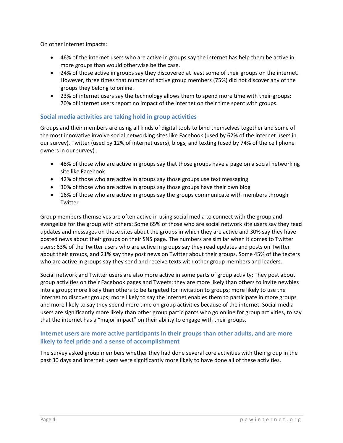On other internet impacts:

- 46% of the internet users who are active in groups say the internet has help them be active in more groups than would otherwise be the case.
- 24% of those active in groups say they discovered at least some of their groups on the internet. However, three times that number of active group members (75%) did not discover any of the groups they belong to online.
- 23% of internet users say the technology allows them to spend more time with their groups; 70% of internet users report no impact of the internet on their time spent with groups.

#### **Social media activities are taking hold in group activities**

Groups and their members are using all kinds of digital tools to bind themselves together and some of the most innovative involve social networking sites like Facebook (used by 62% of the internet users in our survey), Twitter (used by 12% of internet users), blogs, and texting (used by 74% of the cell phone owners in our survey) :

- 48% of those who are active in groups say that those groups have a page on a social networking site like Facebook
- 42% of those who are active in groups say those groups use text messaging
- 30% of those who are active in groups say those groups have their own blog
- 16% of those who are active in groups say the groups communicate with members through Twitter

Group members themselves are often active in using social media to connect with the group and evangelize for the group with others: Some 65% of those who are social network site users say they read updates and messages on these sites about the groups in which they are active and 30% say they have posted news about their groups on their SNS page. The numbers are similar when it comes to Twitter users: 63% of the Twitter users who are active in groups say they read updates and posts on Twitter about their groups, and 21% say they post news on Twitter about their groups. Some 45% of the texters who are active in groups say they send and receive texts with other group members and leaders.

Social network and Twitter users are also more active in some parts of group activity: They post about group activities on their Facebook pages and Tweets; they are more likely than others to invite newbies into a group; more likely than others to be targeted for invitation to groups; more likely to use the internet to discover groups; more likely to say the internet enables them to participate in more groups and more likely to say they spend more time on group activities because of the internet. Social media users are significantly more likely than other group participants who go online for group activities, to say that the internet has a "major impact" on their ability to engage with their groups.

#### **Internet users are more active participants in their groups than other adults, and are more likely to feel pride and a sense of accomplishment**

The survey asked group members whether they had done several core activities with their group in the past 30 days and internet users were significantly more likely to have done all of these activities.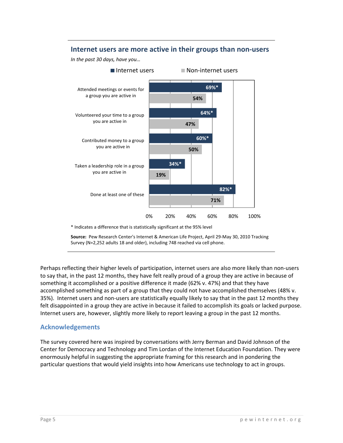#### **Internet users are more active in their groups than non‐users**

*In the past 30 days, have you…*



\* Indicates a difference that is statistically significant at the 95% level

**Source:** Pew Research Center's Internet & American Life Project, April 29‐May 30, 2010 Tracking Survey (N=2,252 adults 18 and older), including 748 reached via cell phone.

Perhaps reflecting their higher levels of participation, internet users are also more likely than non-users to say that, in the past 12 months, they have felt really proud of a group they are active in because of something it accomplished or a positive difference it made (62% v. 47%) and that they have accomplished something as part of a group that they could not have accomplished themselves (48% v. 35%). Internet users and non‐users are statistically equally likely to say that in the past 12 months they felt disappointed in a group they are active in because it failed to accomplish its goals or lacked purpose. Internet users are, however, slightly more likely to report leaving a group in the past 12 months.

#### **Acknowledgements**

The survey covered here was inspired by conversations with Jerry Berman and David Johnson of the Center for Democracy and Technology and Tim Lordan of the Internet Education Foundation. They were enormously helpful in suggesting the appropriate framing for this research and in pondering the particular questions that would yield insights into how Americans use technology to act in groups.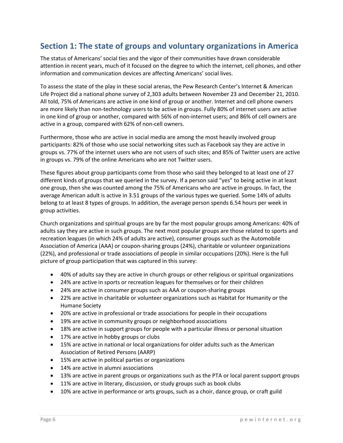# **Section 1: The state of groups and voluntary organizations in America**

The status of Americans' social ties and the vigor of their communities have drawn considerable attention in recent years, much of it focused on the degree to which the internet, cell phones, and other information and communication devices are affecting Americans' social lives.

To assess the state of the play in these social arenas, the Pew Research Center's Internet & American Life Project did a national phone survey of 2,303 adults between November 23 and December 21, 2010. All told, 75% of Americans are active in one kind of group or another. Internet and cell phone owners are more likely than non-technology users to be active in groups. Fully 80% of internet users are active in one kind of group or another, compared with 56% of non-internet users; and 86% of cell owners are active in a group, compared with 62% of non‐cell owners.

Furthermore, those who are active in social media are among the most heavily involved group participants: 82% of those who use social networking sites such as Facebook say they are active in groups vs. 77% of the internet users who are not users of such sites; and 85% of Twitter users are active in groups vs. 79% of the online Americans who are not Twitter users.

These figures about group participants come from those who said they belonged to at least one of 27 different kinds of groups that we queried in the survey. If a person said "yes" to being active in at least one group, then she was counted among the 75% of Americans who are active in groups. In fact, the average American adult is active in 3.51 groups of the various types we queried. Some 14% of adults belong to at least 8 types of groups. In addition, the average person spends 6.54 hours per week in group activities.

Church organizations and spiritual groups are by far the most popular groups among Americans: 40% of adults say they are active in such groups. The next most popular groups are those related to sports and recreation leagues (in which 24% of adults are active), consumer groups such as the Automobile Association of America (AAA) or coupon‐sharing groups (24%), charitable or volunteer organizations (22%), and professional or trade associations of people in similar occupations (20%). Here is the full picture of group participation that was captured in this survey:

- 40% of adults say they are active in church groups or other religious or spiritual organizations
- 24% are active in sports or recreation leagues for themselves or for their children
- 24% are active in consumer groups such as AAA or coupon-sharing groups
- 22% are active in charitable or volunteer organizations such as Habitat for Humanity or the Humane Society
- 20% are active in professional or trade associations for people in their occupations
- 19% are active in community groups or neighborhood associations
- 18% are active in support groups for people with a particular illness or personal situation
- 17% are active in hobby groups or clubs
- 15% are active in national or local organizations for older adults such as the American Association of Retired Persons (AARP)
- 15% are active in political parties or organizations
- 14% are active in alumni associations
- 13% are active in parent groups or organizations such as the PTA or local parent support groups
- 11% are active in literary, discussion, or study groups such as book clubs
- 10% are active in performance or arts groups, such as a choir, dance group, or craft guild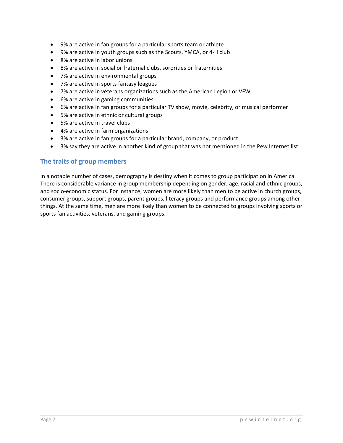- 9% are active in fan groups for a particular sports team or athlete
- 9% are active in youth groups such as the Scouts, YMCA, or 4-H club
- 8% are active in labor unions
- 8% are active in social or fraternal clubs, sororities or fraternities
- 7% are active in environmental groups
- 7% are active in sports fantasy leagues
- 7% are active in veterans organizations such as the American Legion or VFW
- 6% are active in gaming communities
- 6% are active in fan groups for a particular TV show, movie, celebrity, or musical performer
- 5% are active in ethnic or cultural groups
- 5% are active in travel clubs
- 4% are active in farm organizations
- 3% are active in fan groups for a particular brand, company, or product
- 3% say they are active in another kind of group that was not mentioned in the Pew Internet list

#### **The traits of group members**

In a notable number of cases, demography is destiny when it comes to group participation in America. There is considerable variance in group membership depending on gender, age, racial and ethnic groups, and socio-economic status. For instance, women are more likely than men to be active in church groups, consumer groups, support groups, parent groups, literacy groups and performance groups among other things. At the same time, men are more likely than women to be connected to groups involving sports or sports fan activities, veterans, and gaming groups.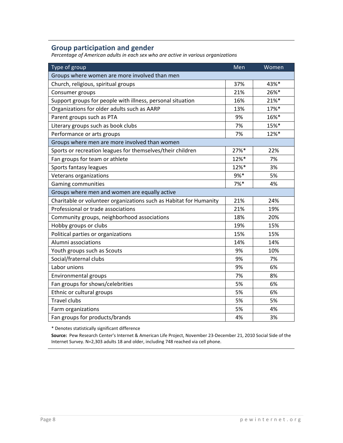# **Group participation and gender**

*Percentage of American adults in each sex who are active in various organizations*

| Type of group                                                      | Men  | Women |
|--------------------------------------------------------------------|------|-------|
| Groups where women are more involved than men                      |      |       |
| Church, religious, spiritual groups                                | 37%  | 43%*  |
| Consumer groups                                                    | 21%  | 26%*  |
| Support groups for people with illness, personal situation         | 16%  | 21%*  |
| Organizations for older adults such as AARP                        | 13%  | 17%*  |
| Parent groups such as PTA                                          | 9%   | 16%*  |
| Literary groups such as book clubs                                 | 7%   | 15%*  |
| Performance or arts groups                                         | 7%   | 12%*  |
| Groups where men are more involved than women                      |      |       |
| Sports or recreation leagues for themselves/their children         | 27%* | 22%   |
| Fan groups for team or athlete                                     | 12%* | 7%    |
| Sports fantasy leagues                                             | 12%* | 3%    |
| Veterans organizations                                             | 9%*  | 5%    |
| <b>Gaming communities</b>                                          | 7%*  | 4%    |
| Groups where men and women are equally active                      |      |       |
| Charitable or volunteer organizations such as Habitat for Humanity | 21%  | 24%   |
| Professional or trade associations                                 | 21%  | 19%   |
| Community groups, neighborhood associations                        | 18%  | 20%   |
| Hobby groups or clubs                                              | 19%  | 15%   |
| Political parties or organizations                                 | 15%  | 15%   |
| Alumni associations                                                | 14%  | 14%   |
| Youth groups such as Scouts                                        | 9%   | 10%   |
| Social/fraternal clubs                                             | 9%   | 7%    |
| Labor unions                                                       | 9%   | 6%    |
| Environmental groups                                               | 7%   | 8%    |
| Fan groups for shows/celebrities                                   | 5%   | 6%    |
| Ethnic or cultural groups                                          | 5%   | 6%    |
| <b>Travel clubs</b>                                                | 5%   | 5%    |
| Farm organizations                                                 | 5%   | 4%    |
| Fan groups for products/brands                                     | 4%   | 3%    |

\* Denotes statistically significant difference

**Source:** Pew Research Center's Internet & American Life Project, November 23‐December 21, 2010 Social Side of the Internet Survey. N=2,303 adults 18 and older, including 748 reached via cell phone.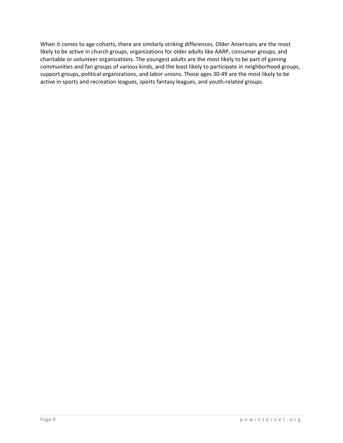When it comes to age cohorts, there are similarly striking differences. Older Americans are the most likely to be active in church groups, organizations for older adults like AARP, consumer groups, and charitable or volunteer organizations. The youngest adults are the most likely to be part of gaming communities and fan groups of various kinds, and the least likely to participate in neighborhood groups, support groups, political organizations, and labor unions. Those ages 30‐49 are the most likely to be active in sports and recreation leagues, sports fantasy leagues, and youth‐related groups.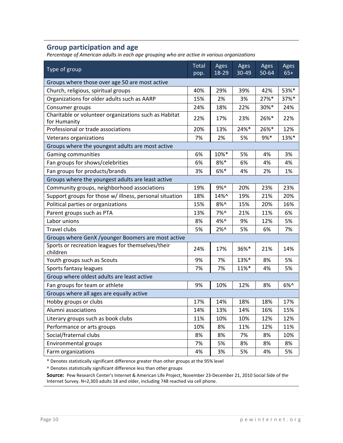# **Group participation and age**

*Percentage of American adults in each age grouping who are active in various organizations*

| Type of group                                                         | Total<br>pop. | Ages<br>18-29  | Ages<br>30-49 | Ages<br>50-64 | Ages<br>$65+$ |
|-----------------------------------------------------------------------|---------------|----------------|---------------|---------------|---------------|
| Groups where those over age 50 are most active                        |               |                |               |               |               |
| Church, religious, spiritual groups                                   | 40%           | 29%            | 39%           | 42%           | 53%*          |
| Organizations for older adults such as AARP                           | 15%           | 2%             | 3%            | 27%*          | 37%*          |
| Consumer groups                                                       | 24%           | 18%            | 22%           | 30%*          | 24%           |
| Charitable or volunteer organizations such as Habitat<br>for Humanity | 22%           | 17%            | 23%           | 26%*          | 22%           |
| Professional or trade associations                                    | 20%           | 13%            | 24%*          | 26%*          | 12%           |
| Veterans organizations                                                | 7%            | 2%             | 5%            | $9%*$         | 13%*          |
| Groups where the youngest adults are most active                      |               |                |               |               |               |
| Gaming communities                                                    | 6%            | 10%*           | 5%            | 4%            | 3%            |
| Fan groups for shows/celebrities                                      | 6%            | $8%$ *         | 6%            | 4%            | 4%            |
| Fan groups for products/brands                                        | 3%            | 6%*            | 4%            | 2%            | 1%            |
| Groups where the youngest adults are least active                     |               |                |               |               |               |
| Community groups, neighborhood associations                           | 19%           | 9%^            | 20%           | 23%           | 23%           |
| Support groups for those w/ illness, personal situation               | 18%           | 14%^           | 19%           | 21%           | 20%           |
| Political parties or organizations                                    | 15%           | $8%$ ^         | 15%           | 20%           | 16%           |
| Parent groups such as PTA                                             | 13%           | 7%^            | 21%           | 11%           | 6%            |
| Labor unions                                                          | 8%            | $4\%$ ^        | 9%            | 12%           | 5%            |
| <b>Travel clubs</b>                                                   | 5%            | $2\%^{\wedge}$ | 5%            | 6%            | 7%            |
| Groups where GenX /younger Boomers are most active                    |               |                |               |               |               |
| Sports or recreation leagues for themselves/their<br>children         | 24%           | 17%            | 36%*          | 21%           | 14%           |
| Youth groups such as Scouts                                           | 9%            | 7%             | 13%*          | 8%            | 5%            |
| Sports fantasy leagues                                                | 7%            | 7%             | 11%*          | 4%            | 5%            |
| Group where oldest adults are least active                            |               |                |               |               |               |
| Fan groups for team or athlete                                        | 9%            | 10%            | 12%           | 8%            | $6%$ ^        |
| Groups where all ages are equally active                              |               |                |               |               |               |
| Hobby groups or clubs                                                 | 17%           | 14%            | 18%           | 18%           | 17%           |
| Alumni associations                                                   | 14%           | 13%            | 14%           | 16%           | 15%           |
| Literary groups such as book clubs                                    | 11%           | 10%            | 10%           | 12%           | 12%           |
| Performance or arts groups                                            | 10%           | 8%             | 11%           | 12%           | 11%           |
| Social/fraternal clubs                                                | 8%            | 8%             | 7%            | 8%            | 10%           |
| Environmental groups                                                  | 7%            | 5%             | 8%            | 8%            | 8%            |
| Farm organizations                                                    | 4%            | 3%             | 5%            | 4%            | 5%            |

\* Denotes statistically significant difference greater than other groups at the 95% level

^ Denotes statistically significant difference less than other groups

**Source:** Pew Research Center's Internet & American Life Project, November 23‐December 21, 2010 Social Side of the Internet Survey. N=2,303 adults 18 and older, including 748 reached via cell phone.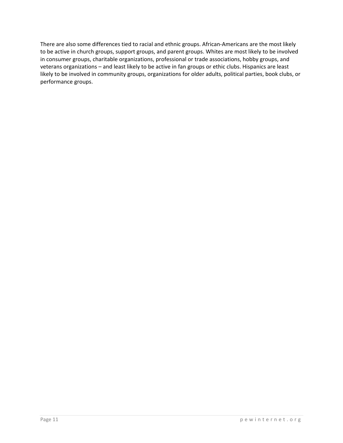There are also some differences tied to racial and ethnic groups. African‐Americans are the most likely to be active in church groups, support groups, and parent groups. Whites are most likely to be involved in consumer groups, charitable organizations, professional or trade associations, hobby groups, and veterans organizations – and least likely to be active in fan groups or ethic clubs. Hispanics are least likely to be involved in community groups, organizations for older adults, political parties, book clubs, or performance groups.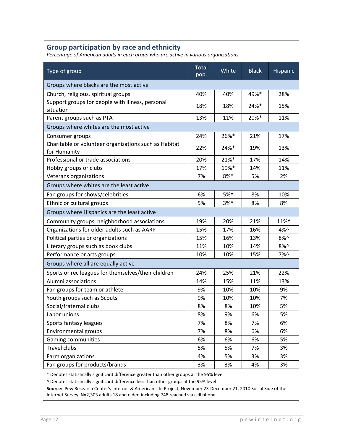# **Group participation by race and ethnicity**

*Percentage of American adults in each group who are active in various organizations*

| Type of group                                                         | Total<br>pop. | White         | <b>Black</b> | Hispanic |  |
|-----------------------------------------------------------------------|---------------|---------------|--------------|----------|--|
| Groups where blacks are the most active                               |               |               |              |          |  |
| Church, religious, spiritual groups                                   | 40%           | 40%           | 49%*         | 28%      |  |
| Support groups for people with illness, personal<br>situation         | 18%           | 18%           | $24%$ *      | 15%      |  |
| Parent groups such as PTA                                             | 13%           | 11%           | 20%*         | 11%      |  |
| Groups where whites are the most active                               |               |               |              |          |  |
| Consumer groups                                                       | 24%           | 26%*          | 21%          | 17%      |  |
| Charitable or volunteer organizations such as Habitat<br>for Humanity | 22%           | 24%*          | 19%          | 13%      |  |
| Professional or trade associations                                    | 20%           | 21%*          | 17%          | 14%      |  |
| Hobby groups or clubs                                                 | 17%           | 19%*          | 14%          | 11%      |  |
| Veterans organizations                                                | 7%            | $8%$ *        | 5%           | 2%       |  |
| Groups where whites are the least active                              |               |               |              |          |  |
| Fan groups for shows/celebrities                                      | 6%            | 5%^           | 8%           | 10%      |  |
| Ethnic or cultural groups                                             | 5%            | $3%^{\wedge}$ | 8%           | 8%       |  |
| Groups where Hispanics are the least active                           |               |               |              |          |  |
| Community groups, neighborhood associations                           | 19%           | 20%           | 21%          | 11%^     |  |
| Organizations for older adults such as AARP                           | 15%           | 17%           | 16%          | 4%^      |  |
| Political parties or organizations                                    | 15%           | 16%           | 13%          | $8%$ ^   |  |
| Literary groups such as book clubs                                    | 11%           | 10%           | 14%          | $8%$ ^   |  |
| Performance or arts groups                                            | 10%           | 10%           | 15%          | 7%^      |  |
| Groups where all are equally active                                   |               |               |              |          |  |
| Sports or rec leagues for themselves/their children                   | 24%           | 25%           | 21%          | 22%      |  |
| Alumni associations                                                   | 14%           | 15%           | 11%          | 13%      |  |
| Fan groups for team or athlete                                        | 9%            | 10%           | 10%          | 9%       |  |
| Youth groups such as Scouts                                           | 9%            | 10%           | 10%          | 7%       |  |
| Social/fraternal clubs                                                | 8%            | 8%            | 10%          | 5%       |  |
| Labor unions                                                          | 8%            | 9%            | 6%           | 5%       |  |
| Sports fantasy leagues                                                | 7%            | 8%            | 7%           | 6%       |  |
| Environmental groups                                                  | 7%            | 8%            | 6%           | 6%       |  |
| Gaming communities                                                    | 6%            | 6%            | 6%           | 5%       |  |
| <b>Travel clubs</b>                                                   | 5%            | 5%            | 7%           | 3%       |  |
| Farm organizations                                                    | 4%            | 5%            | 3%           | 3%       |  |
| Fan groups for products/brands                                        | 3%            | 3%            | 4%           | 3%       |  |

\* Denotes statistically significant difference greater than other groups at the 95% level

^ Denotes statistically significant difference less than other groups at the 95% level

**Source:** Pew Research Center's Internet & American Life Project, November 23‐December 21, 2010 Social Side of the Internet Survey. N=2,303 adults 18 and older, including 748 reached via cell phone.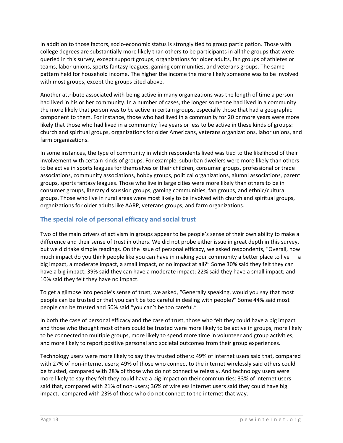In addition to those factors, socio‐economic status is strongly tied to group participation. Those with college degrees are substantially more likely than others to be participants in all the groups that were queried in this survey, except support groups, organizations for older adults, fan groups of athletes or teams, labor unions, sports fantasy leagues, gaming communities, and veterans groups. The same pattern held for household income. The higher the income the more likely someone was to be involved with most groups, except the groups cited above.

Another attribute associated with being active in many organizations was the length of time a person had lived in his or her community. In a number of cases, the longer someone had lived in a community the more likely that person was to be active in certain groups, especially those that had a geographic component to them. For instance, those who had lived in a community for 20 or more years were more likely that those who had lived in a community five years or less to be active in these kinds of groups: church and spiritual groups, organizations for older Americans, veterans organizations, labor unions, and farm organizations.

In some instances, the type of community in which respondents lived was tied to the likelihood of their involvement with certain kinds of groups. For example, suburban dwellers were more likely than others to be active in sports leagues for themselves or their children, consumer groups, professional or trade associations, community associations, hobby groups, political organizations, alumni associations, parent groups, sports fantasy leagues. Those who live in large cities were more likely than others to be in consumer groups, literary discussion groups, gaming communities, fan groups, and ethnic/cultural groups. Those who live in rural areas were most likely to be involved with church and spiritual groups, organizations for older adults like AARP, veterans groups, and farm organizations.

# **The special role of personal efficacy and social trust**

Two of the main drivers of activism in groups appear to be people's sense of their own ability to make a difference and their sense of trust in others. We did not probe either issue in great depth in this survey, but we did take simple readings. On the issue of personal efficacy, we asked respondents, "Overall, how much impact do you think people like you can have in making your community a better place to live  $-$  a big impact, a moderate impact, a small impact, or no impact at all?" Some 30% said they felt they can have a big impact; 39% said they can have a moderate impact; 22% said they have a small impact; and 10% said they felt they have no impact.

To get a glimpse into people's sense of trust, we asked, "Generally speaking, would you say that most people can be trusted or that you can't be too careful in dealing with people?" Some 44% said most people can be trusted and 50% said "you can't be too careful."

In both the case of personal efficacy and the case of trust, those who felt they could have a big impact and those who thought most others could be trusted were more likely to be active in groups, more likely to be connected to multiple groups, more likely to spend more time in volunteer and group activities, and more likely to report positive personal and societal outcomes from their group experiences.

Technology users were more likely to say they trusted others: 49% of internet users said that, compared with 27% of non-internet users; 49% of those who connect to the internet wirelessly said others could be trusted, compared with 28% of those who do not connect wirelessly. And technology users were more likely to say they felt they could have a big impact on their communities: 33% of internet users said that, compared with 21% of non-users; 36% of wireless internet users said they could have big impact, compared with 23% of those who do not connect to the internet that way.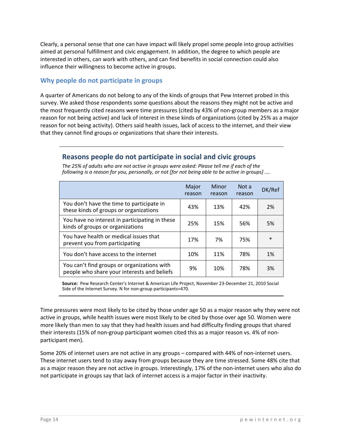Clearly, a personal sense that one can have impact will likely propel some people into group activities aimed at personal fulfillment and civic engagement. In addition, the degree to which people are interested in others, can work with others, and can find benefits in social connection could also influence their willingness to become active in groups.

## **Why people do not participate in groups**

A quarter of Americans do not belong to any of the kinds of groups that Pew Internet probed in this survey. We asked those respondents some questions about the reasons they might not be active and the most frequently cited reasons were time pressures (cited by 43% of non‐group members as a major reason for not being active) and lack of interest in these kinds of organizations (cited by 25% as a major reason for not being activity). Others said health issues, lack of access to the internet, and their view that they cannot find groups or organizations that share their interests.

# **Reasons people do not participate in social and civic groups**

|                                                                                            | Major<br>reason | Minor<br>reason | Not a<br>reason | DK/Ref |
|--------------------------------------------------------------------------------------------|-----------------|-----------------|-----------------|--------|
| You don't have the time to participate in<br>these kinds of groups or organizations        | 43%             | 13%             | 42%             | 2%     |
| You have no interest in participating in these<br>kinds of groups or organizations         | 25%             | 15%             | 56%             | 5%     |
| You have health or medical issues that<br>prevent you from participating                   | 17%             | 7%              | 75%             | $\ast$ |
| You don't have access to the internet                                                      | 10%             | 11%             | 78%             | 1%     |
| You can't find groups or organizations with<br>people who share your interests and beliefs | 9%              | 10%             | 78%             | 3%     |

*The 25% of adults who are not active in groups were asked: Please tell me if each of the* following is a reason for you, personally, or not [for not being able to be active in groups] ....

**Source:** Pew Research Center's Internet & American Life Project, November 23‐December 21, 2010 Social Side of the Internet Survey. N for non‐group participants=470.

Time pressures were most likely to be cited by those under age 50 as a major reason why they were not active in groups, while health issues were most likely to be cited by those over age 50. Women were more likely than men to say that they had health issues and had difficulty finding groups that shared their interests (15% of non-group participant women cited this as a major reason vs. 4% of nonparticipant men).

Some 20% of internet users are not active in any groups – compared with 44% of non-internet users. These internet users tend to stay away from groups because they are time stressed. Some 48% cite that as a major reason they are not active in groups. Interestingly, 17% of the non-internet users who also do not participate in groups say that lack of internet access is a major factor in their inactivity.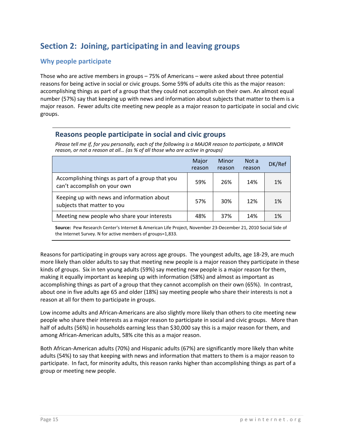# **Section 2: Joining, participating in and leaving groups**

## **Why people participate**

Those who are active members in groups – 75% of Americans – were asked about three potential reasons for being active in social or civic groups. Some 59% of adults cite this as the major reason: accomplishing things as part of a group that they could not accomplish on their own. An almost equal number (57%) say that keeping up with news and information about subjects that matter to them is a major reason. Fewer adults cite meeting new people as a major reason to participate in social and civic groups.

#### **Reasons people participate in social and civic groups**

Please tell me if, for you personally, each of the following is a MAJOR reason to participate, a MINOR *reason, or not a reason at all… (as % of all those who are active in groups)*

|                                                                                  | Major<br>reason | Minor<br>reason | Not a<br>reason | DK/Ref |
|----------------------------------------------------------------------------------|-----------------|-----------------|-----------------|--------|
| Accomplishing things as part of a group that you<br>can't accomplish on your own | 59%             | 26%             | 14%             | 1%     |
| Keeping up with news and information about<br>subjects that matter to you        | 57%             | 30%             | 12%             | 1%     |
| Meeting new people who share your interests                                      | 48%             | 37%             | 14%             | 1%     |

**Source:** Pew Research Center's Internet & American Life Project, November 23‐December 21, 2010 Social Side of the Internet Survey. N for active members of groups=1,833.

Reasons for participating in groups vary across age groups. The youngest adults, age 18‐29, are much more likely than older adults to say that meeting new people is a major reason they participate in these kinds of groups. Six in ten young adults (59%) say meeting new people is a major reason for them, making it equally important as keeping up with information (58%) and almost as important as accomplishing things as part of a group that they cannot accomplish on their own (65%). In contrast, about one in five adults age 65 and older (18%) say meeting people who share their interests is not a reason at all for them to participate in groups.

Low income adults and African‐Americans are also slightly more likely than others to cite meeting new people who share their interests as a major reason to participate in social and civic groups. More than half of adults (56%) in households earning less than \$30,000 say this is a major reason for them, and among African‐American adults, 58% cite this as a major reason.

Both African‐American adults (70%) and Hispanic adults (67%) are significantly more likely than white adults (54%) to say that keeping with news and information that matters to them is a major reason to participate. In fact, for minority adults, this reason ranks higher than accomplishing things as part of a group or meeting new people.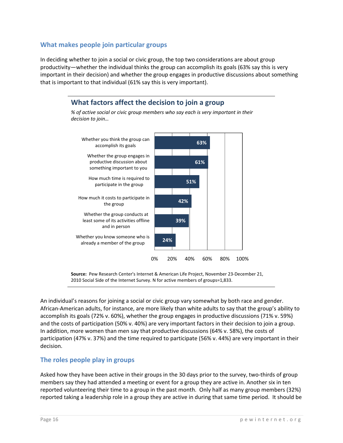#### **What makes people join particular groups**

In deciding whether to join a social or civic group, the top two considerations are about group productivity—whether the individual thinks the group can accomplish its goals (63% say this is very important in their decision) and whether the group engages in productive discussions about something that is important to that individual (61% say this is very important).

# **What factors affect the decision to join a group**

*% of active social or civic group members who say each is very important in their decision to join…*



**Source:** Pew Research Center's Internet & American Life Project, November 23‐December 21, 2010 Social Side of the Internet Survey. N for active members of groups=1,833.

An individual's reasons for joining a social or civic group vary somewhat by both race and gender. African‐American adults, for instance, are more likely than white adults to say that the group's ability to accomplish its goals (72% v. 60%), whether the group engages in productive discussions (71% v. 59%) and the costs of participation (50% v. 40%) are very important factors in their decision to join a group. In addition, more women than men say that productive discussions (64% v. 58%), the costs of participation (47% v. 37%) and the time required to participate (56% v. 44%) are very important in their decision.

#### **The roles people play in groups**

Asked how they have been active in their groups in the 30 days prior to the survey, two-thirds of group members say they had attended a meeting or event for a group they are active in. Another six in ten reported volunteering their time to a group in the past month. Only half as many group members (32%) reported taking a leadership role in a group they are active in during that same time period. It should be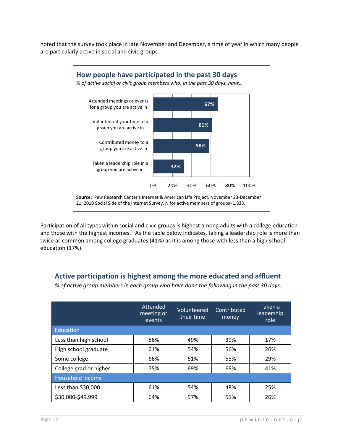noted that the survey took place in late November and December, a time of year in which many people are particularly active in social and civic groups.



Participation of all types within social and civic groups is highest among adults with a college education and those with the highest incomes. As the table below indicates, taking a leadership role is more than twice as common among college graduates (41%) as it is among those with less than a high school education (17%).

# **Active participation is highest among the more educated and affluent**

*% of active group members in each group who have done the following in the past 30 days…*

|                        | Attended<br>meeting or<br>events | Volunteered<br>their time | Contributed<br>money | Taken a<br>leadership<br>role |
|------------------------|----------------------------------|---------------------------|----------------------|-------------------------------|
| Education              |                                  |                           |                      |                               |
| Less than high school  | 56%                              | 49%                       | 39%                  | 17%                           |
| High school graduate   | 61%                              | 54%                       | 56%                  | 26%                           |
| Some college           | 66%                              | 61%                       | 55%                  | 29%                           |
| College grad or higher | 75%                              | 69%                       | 68%                  | 41%                           |
| Household income       |                                  |                           |                      |                               |
| Less than \$30,000     | 61%                              | 54%                       | 48%                  | 25%                           |
| \$30,000-\$49,999      | 64%                              | 57%                       | 51%                  | 26%                           |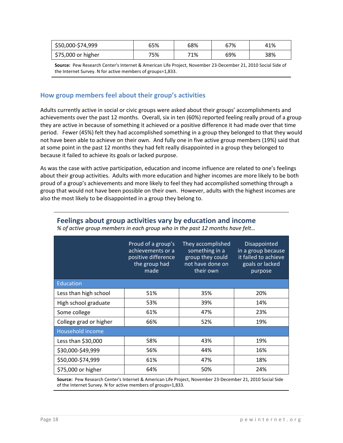| \$50,000-\$74,999  | 65% | 68% | 67% | 41% |
|--------------------|-----|-----|-----|-----|
| \$75,000 or higher | 75% | 71% | 69% | 38% |

**Source:** Pew Research Center's Internet & American Life Project, November 23‐December 21, 2010 Social Side of the Internet Survey. N for active members of groups=1,833.

#### **How group members feel about their group's activities**

Adults currently active in social or civic groups were asked about their groups' accomplishments and achievements over the past 12 months. Overall, six in ten (60%) reported feeling really proud of a group they are active in because of something it achieved or a positive difference it had made over that time period. Fewer (45%) felt they had accomplished something in a group they belonged to that they would not have been able to achieve on their own. And fully one in five active group members (19%) said that at some point in the past 12 months they had felt really disappointed in a group they belonged to because it failed to achieve its goals or lacked purpose.

As was the case with active participation, education and income influence are related to one's feelings about their group activities. Adults with more education and higher incomes are more likely to be both proud of a group's achievements and more likely to feel they had accomplished something through a group that would not have been possible on their own. However, adults with the highest incomes are also the most likely to be disappointed in a group they belong to.

|                        | Proud of a group's<br>achievements or a<br>positive difference<br>the group had<br>made | They accomplished<br>something in a<br>group they could<br>not have done on<br>their own | Disappointed<br>in a group because<br>it failed to achieve<br>goals or lacked<br>purpose |
|------------------------|-----------------------------------------------------------------------------------------|------------------------------------------------------------------------------------------|------------------------------------------------------------------------------------------|
| Education              |                                                                                         |                                                                                          |                                                                                          |
| Less than high school  | 51%                                                                                     | 35%                                                                                      | 20%                                                                                      |
| High school graduate   | 53%                                                                                     | 39%                                                                                      | 14%                                                                                      |
| Some college           | 61%                                                                                     | 47%                                                                                      | 23%                                                                                      |
| College grad or higher | 66%                                                                                     | 52%                                                                                      | 19%                                                                                      |
| Household income       |                                                                                         |                                                                                          |                                                                                          |
| Less than \$30,000     | 58%                                                                                     | 43%                                                                                      | 19%                                                                                      |
| \$30,000-\$49,999      | 56%                                                                                     | 44%                                                                                      | 16%                                                                                      |
| \$50,000-\$74,999      | 61%                                                                                     | 47%                                                                                      | 18%                                                                                      |
| \$75,000 or higher     | 64%                                                                                     | 50%                                                                                      | 24%                                                                                      |

#### **Feelings about group activities vary by education and income**

*% of active group members in each group who in the past 12 months have felt…*

**Source:** Pew Research Center's Internet & American Life Project, November 23‐December 21, 2010 Social Side of the Internet Survey. N for active members of groups=1,833.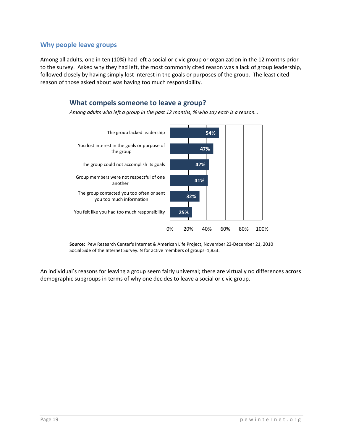#### **Why people leave groups**

Among all adults, one in ten (10%) had left a social or civic group or organization in the 12 months prior to the survey. Asked why they had left, the most commonly cited reason was a lack of group leadership, followed closely by having simply lost interest in the goals or purposes of the group. The least cited reason of those asked about was having too much responsibility.



**Source:** Pew Research Center's Internet & American Life Project, November 23‐December 21, 2010 Social Side of the Internet Survey. N for active members of groups=1,833.

An individual's reasons for leaving a group seem fairly universal; there are virtually no differences across demographic subgroups in terms of why one decides to leave a social or civic group.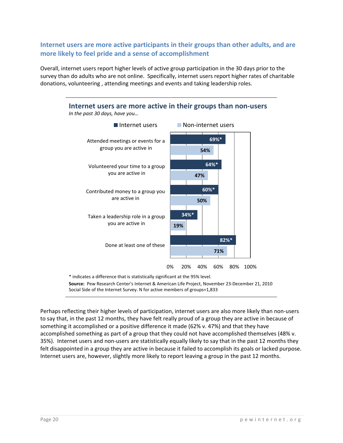**Internet users are more active participants in their groups than other adults, and are more likely to feel pride and a sense of accomplishment** 

Overall, internet users report higher levels of active group participation in the 30 days prior to the survey than do adults who are not online. Specifically, internet users report higher rates of charitable donations, volunteering , attending meetings and events and taking leadership roles.



**Source:** Pew Research Center's Internet & American Life Project, November 23‐December 21, 2010 Social Side of the Internet Survey. N for active members of groups=1,833

Perhaps reflecting their higher levels of participation, internet users are also more likely than non-users to say that, in the past 12 months, they have felt really proud of a group they are active in because of something it accomplished or a positive difference it made (62% v. 47%) and that they have accomplished something as part of a group that they could not have accomplished themselves (48% v. 35%). Internet users and non‐users are statistically equally likely to say that in the past 12 months they felt disappointed in a group they are active in because it failed to accomplish its goals or lacked purpose. Internet users are, however, slightly more likely to report leaving a group in the past 12 months.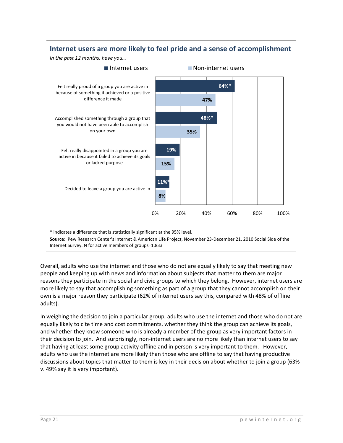# **Internet users are more likely to feel pride and a sense of accomplishment**

*In the past 12 months, have you…*



\* indicates a difference that is statistically significant at the 95% level.

**Source:** Pew Research Center's Internet & American Life Project, November 23‐December 21, 2010 Social Side of the Internet Survey. N for active members of groups=1,833

Overall, adults who use the internet and those who do not are equally likely to say that meeting new people and keeping up with news and information about subjects that matter to them are major reasons they participate in the social and civic groups to which they belong. However, internet users are more likely to say that accomplishing something as part of a group that they cannot accomplish on their own is a major reason they participate (62% of internet users say this, compared with 48% of offline adults).

In weighing the decision to join a particular group, adults who use the internet and those who do not are equally likely to cite time and cost commitments, whether they think the group can achieve its goals, and whether they know someone who is already a member of the group as very important factors in their decision to join. And surprisingly, non‐internet users are no more likely than internet users to say that having at least some group activity offline and in person is very important to them. However, adults who use the internet are more likely than those who are offline to say that having productive discussions about topics that matter to them is key in their decision about whether to join a group (63% v. 49% say it is very important).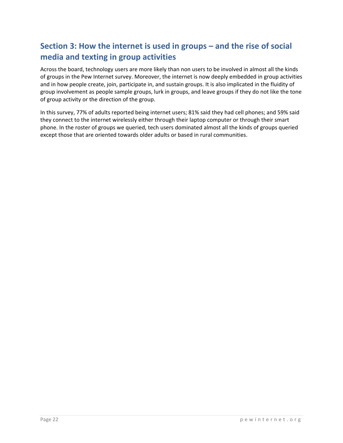# **Section 3: How the internet is used in groups – and the rise of social media and texting in group activities**

Across the board, technology users are more likely than non users to be involved in almost all the kinds of groups in the Pew Internet survey. Moreover, the internet is now deeply embedded in group activities and in how people create, join, participate in, and sustain groups. It is also implicated in the fluidity of group involvement as people sample groups, lurk in groups, and leave groups if they do not like the tone of group activity or the direction of the group.

In this survey, 77% of adults reported being internet users; 81% said they had cell phones; and 59% said they connect to the internet wirelessly either through their laptop computer or through their smart phone. In the roster of groups we queried, tech users dominated almost all the kinds of groups queried except those that are oriented towards older adults or based in rural communities.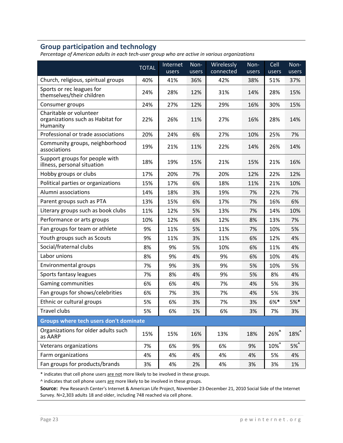# **Group participation and technology**

*Percentage of American adults in each tech‐user group who are active in various organizations*

|                                                                          | <b>TOTAL</b> | Internet<br>users | Non-<br>users | Wirelessly<br>connected | $Non-$<br>users | Cell<br>users | Non-<br>users |
|--------------------------------------------------------------------------|--------------|-------------------|---------------|-------------------------|-----------------|---------------|---------------|
| Church, religious, spiritual groups                                      | 40%          | 41%               | 36%           | 42%                     | 38%             | 51%           | 37%           |
| Sports or rec leagues for<br>themselves/their children                   | 24%          | 28%               | 12%           | 31%                     | 14%             | 28%           | 15%           |
| Consumer groups                                                          | 24%          | 27%               | 12%           | 29%                     | 16%             | 30%           | 15%           |
| Charitable or volunteer<br>organizations such as Habitat for<br>Humanity | 22%          | 26%               | 11%           | 27%                     | 16%             | 28%           | 14%           |
| Professional or trade associations                                       | 20%          | 24%               | 6%            | 27%                     | 10%             | 25%           | 7%            |
| Community groups, neighborhood<br>associations                           | 19%          | 21%               | 11%           | 22%                     | 14%             | 26%           | 14%           |
| Support groups for people with<br>illness, personal situation            | 18%          | 19%               | 15%           | 21%                     | 15%             | 21%           | 16%           |
| Hobby groups or clubs                                                    | 17%          | 20%               | 7%            | 20%                     | 12%             | 22%           | 12%           |
| Political parties or organizations                                       | 15%          | 17%               | 6%            | 18%                     | 11%             | 21%           | 10%           |
| Alumni associations                                                      | 14%          | 18%               | 3%            | 19%                     | 7%              | 22%           | 7%            |
| Parent groups such as PTA                                                | 13%          | 15%               | 6%            | 17%                     | 7%              | 16%           | 6%            |
| Literary groups such as book clubs                                       | 11%          | 12%               | 5%            | 13%                     | 7%              | 14%           | 10%           |
| Performance or arts groups                                               | 10%          | 12%               | 6%            | 12%                     | 8%              | 13%           | 7%            |
| Fan groups for team or athlete                                           | 9%           | 11%               | 5%            | 11%                     | 7%              | 10%           | 5%            |
| Youth groups such as Scouts                                              | 9%           | 11%               | 3%            | 11%                     | 6%              | 12%           | 4%            |
| Social/fraternal clubs                                                   | 8%           | 9%                | 5%            | 10%                     | 6%              | 11%           | 4%            |
| Labor unions                                                             | 8%           | 9%                | 4%            | 9%                      | 6%              | 10%           | 4%            |
| Environmental groups                                                     | 7%           | 9%                | 3%            | 9%                      | 5%              | 10%           | 5%            |
| Sports fantasy leagues                                                   | 7%           | 8%                | 4%            | 9%                      | 5%              | 8%            | 4%            |
| Gaming communities                                                       | 6%           | 6%                | 4%            | 7%                      | 4%              | 5%            | 3%            |
| Fan groups for shows/celebrities                                         | 6%           | 7%                | 3%            | 7%                      | 4%              | 5%            | 3%            |
| Ethnic or cultural groups                                                | 5%           | 6%                | 3%            | 7%                      | 3%              | $6%*$         | $5%$ *        |
| Travel clubs                                                             | 5%           | 6%                | 1%            | 6%                      | 3%              | 7%            | 3%            |
| Groups where tech users don't dominate                                   |              |                   |               |                         |                 |               |               |
| Organizations for older adults such<br>as AARP                           | 15%          | 15%               | 16%           | 13%                     | 18%             | 26%           | 18%^          |
| Veterans organizations                                                   | 7%           | 6%                | 9%            | 6%                      | 9%              | 10%^          | 5%            |
| Farm organizations                                                       | 4%           | 4%                | 4%            | 4%                      | 4%              | 5%            | 4%            |
| Fan groups for products/brands                                           | 3%           | 4%                | 2%            | 4%                      | 3%              | 3%            | 1%            |

\* indicates that cell phone users are not more likely to be involved in these groups.

^ indicates that cell phone users are more likely to be involved in these groups.

**Source:** Pew Research Center's Internet & American Life Project, November 23‐December 21, 2010 Social Side of the Internet Survey. N=2,303 adults 18 and older, including 748 reached via cell phone.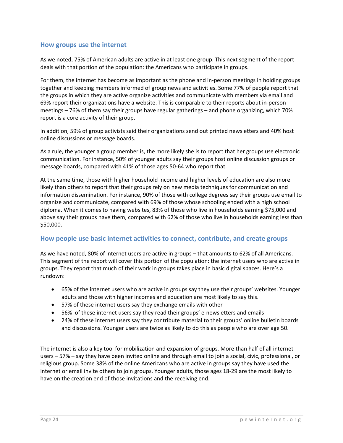#### **How groups use the internet**

As we noted, 75% of American adults are active in at least one group. This next segment of the report deals with that portion of the population: the Americans who participate in groups.

For them, the internet has become as important as the phone and in‐person meetings in holding groups together and keeping members informed of group news and activities. Some 77% of people report that the groups in which they are active organize activities and communicate with members via email and 69% report their organizations have a website. This is comparable to their reports about in‐person meetings – 76% of them say their groups have regular gatherings – and phone organizing, which 70% report is a core activity of their group.

In addition, 59% of group activists said their organizations send out printed newsletters and 40% host online discussions or message boards.

As a rule, the younger a group member is, the more likely she is to report that her groups use electronic communication. For instance, 50% of younger adults say their groups host online discussion groups or message boards, compared with 41% of those ages 50‐64 who report that.

At the same time, those with higher household income and higher levels of education are also more likely than others to report that their groups rely on new media techniques for communication and information dissemination. For instance, 90% of those with college degrees say their groups use email to organize and communicate, compared with 69% of those whose schooling ended with a high school diploma. When it comes to having websites, 83% of those who live in households earning \$75,000 and above say their groups have them, compared with 62% of those who live in households earning less than \$50,000.

#### **How people use basic internet activities to connect, contribute, and create groups**

As we have noted, 80% of internet users are active in groups – that amounts to 62% of all Americans. This segment of the report will cover this portion of the population: the internet users who are active in groups. They report that much of their work in groups takes place in basic digital spaces. Here's a rundown:

- 65% of the internet users who are active in groups say they use their groups' websites. Younger adults and those with higher incomes and education are most likely to say this.
- 57% of these internet users say they exchange emails with other
- 56% of these internet users say they read their groups' e-newsletters and emails
- 24% of these internet users say they contribute material to their groups' online bulletin boards and discussions. Younger users are twice as likely to do this as people who are over age 50.

The internet is also a key tool for mobilization and expansion of groups. More than half of all internet users – 57% – say they have been invited online and through email to join a social, civic, professional, or religious group. Some 38% of the online Americans who are active in groups say they have used the internet or email invite others to join groups. Younger adults, those ages 18‐29 are the most likely to have on the creation end of those invitations and the receiving end.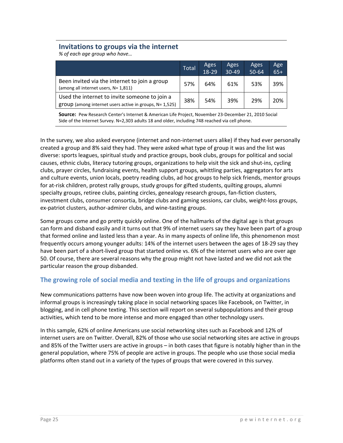## **Invitations to groups via the internet**

*% of each age group who have…*

|                                                                                                            | <b>Total</b> | Ages<br>18-29 | Ages<br>$30 - 49$ | Ages<br>$50 - 64$ | Age<br>$65+$ |
|------------------------------------------------------------------------------------------------------------|--------------|---------------|-------------------|-------------------|--------------|
| Been invited via the internet to join a group<br>(among all internet users, N= 1,811)                      | 57%          | 64%           | 61%               | 53%               | 39%          |
| Used the internet to invite someone to join a<br>$group (among internet users active in groups, N= 1,525)$ | 38%          | 54%           | 39%               | 29%               | 20%          |

**Source:** Pew Research Center's Internet & American Life Project, November 23‐December 21, 2010 Social Side of the Internet Survey. N=2,303 adults 18 and older, including 748 reached via cell phone.

In the survey, we also asked everyone (internet and non-internet users alike) if they had ever personally created a group and 8% said they had. They were asked what type of group it was and the list was diverse: sports leagues, spiritual study and practice groups, book clubs, groups for political and social causes, ethnic clubs, literacy tutoring groups, organizations to help visit the sick and shut‐ins, cycling clubs, prayer circles, fundraising events, health support groups, whittling parties, aggregators for arts and culture events, union locals, poetry reading clubs, ad hoc groups to help sick friends, mentor groups for at-risk children, protest rally groups, study groups for gifted students, quilting groups, alumni specialty groups, retiree clubs, painting circles, genealogy research groups, fan‐fiction clusters, investment clubs, consumer consortia, bridge clubs and gaming sessions, car clubs, weight‐loss groups, ex‐patriot clusters, author‐admirer clubs, and wine‐tasting groups.

Some groups come and go pretty quickly online. One of the hallmarks of the digital age is that groups can form and disband easily and it turns out that 9% of internet users say they have been part of a group that formed online and lasted less than a year. As in many aspects of online life, this phenomenon most frequently occurs among younger adults: 14% of the internet users between the ages of 18‐29 say they have been part of a short-lived group that started online vs. 6% of the internet users who are over age 50. Of course, there are several reasons why the group might not have lasted and we did not ask the particular reason the group disbanded.

#### **The growing role of social media and texting in the life of groups and organizations**

New communications patterns have now been woven into group life. The activity at organizations and informal groups is increasingly taking place in social networking spaces like Facebook, on Twitter, in blogging, and in cell phone texting. This section will report on several subpopulations and their group activities, which tend to be more intense and more engaged than other technology users.

In this sample, 62% of online Americans use social networking sites such as Facebook and 12% of internet users are on Twitter. Overall, 82% of those who use social networking sites are active in groups and 85% of the Twitter users are active in groups – in both cases that figure is notably higher than in the general population, where 75% of people are active in groups. The people who use those social media platforms often stand out in a variety of the types of groups that were covered in this survey.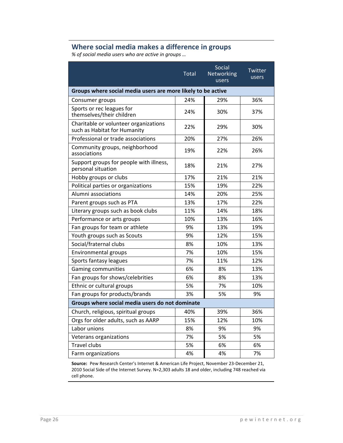# **Where social media makes a difference in groups**

*% of social media users who are active in groups …*

|                                                                       | <b>Total</b> | Social<br>Networking<br>users | Twitter<br>users |
|-----------------------------------------------------------------------|--------------|-------------------------------|------------------|
| Groups where social media users are more likely to be active          |              |                               |                  |
| Consumer groups                                                       | 24%          | 29%                           | 36%              |
| Sports or rec leagues for<br>themselves/their children                | 24%          | 30%                           | 37%              |
| Charitable or volunteer organizations<br>such as Habitat for Humanity | 22%          | 29%                           | 30%              |
| Professional or trade associations                                    | 20%          | 27%                           | 26%              |
| Community groups, neighborhood<br>associations                        | 19%          | 22%                           | 26%              |
| Support groups for people with illness,<br>personal situation         | 18%          | 21%                           | 27%              |
| Hobby groups or clubs                                                 | 17%          | 21%                           | 21%              |
| Political parties or organizations                                    | 15%          | 19%                           | 22%              |
| Alumni associations                                                   | 14%          | 20%                           | 25%              |
| Parent groups such as PTA                                             | 13%          | 17%                           | 22%              |
| Literary groups such as book clubs                                    | 11%          | 14%                           | 18%              |
| Performance or arts groups                                            | 10%          | 13%                           | 16%              |
| Fan groups for team or athlete                                        | 9%           | 13%                           | 19%              |
| Youth groups such as Scouts                                           | 9%           | 12%                           | 15%              |
| Social/fraternal clubs                                                | 8%           | 10%                           | 13%              |
| Environmental groups                                                  | 7%           | 10%                           | 15%              |
| Sports fantasy leagues                                                | 7%           | 11%                           | 12%              |
| <b>Gaming communities</b>                                             | 6%           | 8%                            | 13%              |
| Fan groups for shows/celebrities                                      | 6%           | 8%                            | 13%              |
| Ethnic or cultural groups                                             | 5%           | 7%                            | 10%              |
| Fan groups for products/brands                                        | 3%           | 5%                            | 9%               |
| Groups where social media users do not dominate                       |              |                               |                  |
| Church, religious, spiritual groups                                   | 40%          | 39%                           | 36%              |
| Orgs for older adults, such as AARP                                   | 15%          | 12%                           | 10%              |
| Labor unions                                                          | 8%           | 9%                            | 9%               |
| Veterans organizations                                                | 7%           | 5%                            | 5%               |
| Travel clubs                                                          | 5%           | 6%                            | 6%               |
| Farm organizations                                                    | 4%           | 4%                            | 7%               |

**Source:** Pew Research Center's Internet & American Life Project, November 23‐December 21, 2010 Social Side of the Internet Survey. N=2,303 adults 18 and older, including 748 reached via cell phone.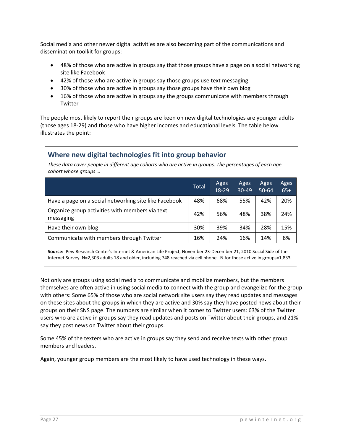Social media and other newer digital activities are also becoming part of the communications and dissemination toolkit for groups:

- 48% of those who are active in groups say that those groups have a page on a social networking site like Facebook
- 42% of those who are active in groups say those groups use text messaging
- 30% of those who are active in groups say those groups have their own blog
- 16% of those who are active in groups say the groups communicate with members through Twitter

The people most likely to report their groups are keen on new digital technologies are younger adults (those ages 18‐29) and those who have higher incomes and educational levels. The table below illustrates the point:

# **Where new digital technologies fit into group behavior**

These data cover people in different age cohorts who are active in groups. The percentages of each age *cohort whose groups …*

|                                                              | <b>Total</b> | Ages<br>18-29 | Ages<br>$30 - 49$ | Ages<br>$50 - 64$ | Ages<br>$65+$ |
|--------------------------------------------------------------|--------------|---------------|-------------------|-------------------|---------------|
| Have a page on a social networking site like Facebook        | 48%          | 68%           | 55%               | 42%               | 20%           |
| Organize group activities with members via text<br>messaging | 42%          | 56%           | 48%               | 38%               | 24%           |
| Have their own blog                                          | 30%          | 39%           | 34%               | 28%               | 15%           |
| Communicate with members through Twitter                     | 16%          | 24%           | 16%               | 14%               | 8%            |

**Source:** Pew Research Center's Internet & American Life Project, November 23‐December 21, 2010 Social Side of the Internet Survey. N=2,303 adults 18 and older, including 748 reached via cell phone. N for those active in groups=1,833.

Not only are groups using social media to communicate and mobilize members, but the members themselves are often active in using social media to connect with the group and evangelize for the group with others: Some 65% of those who are social network site users say they read updates and messages on these sites about the groups in which they are active and 30% say they have posted news about their groups on their SNS page. The numbers are similar when it comes to Twitter users: 63% of the Twitter users who are active in groups say they read updates and posts on Twitter about their groups, and 21% say they post news on Twitter about their groups.

Some 45% of the texters who are active in groups say they send and receive texts with other group members and leaders.

Again, younger group members are the most likely to have used technology in these ways.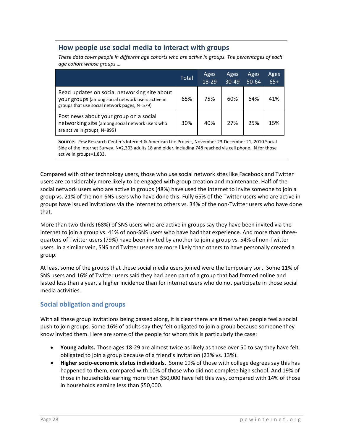# **How people use social media to interact with groups**

*These data cover people in different age cohorts who are active in groups. The percentages of each age cohort whose groups …*

|                                                                                                                                                   | Total | Ages<br>18-29 | Ages<br>$30 - 49$ | Ages<br>$50 - 64$ | Ages<br>$65+$ |
|---------------------------------------------------------------------------------------------------------------------------------------------------|-------|---------------|-------------------|-------------------|---------------|
| Read updates on social networking site about<br>your groups (among social network users active in<br>groups that use social network pages, N=579) | 65%   | 75%           | 60%               | 64%               | 41%           |
| Post news about your group on a social<br>networking site (among social network users who<br>are active in groups, N=895)                         | 30%   | 40%           | 27%               | 25%               | 15%           |

**Source:** Pew Research Center's Internet & American Life Project, November 23‐December 21, 2010 Social Side of the Internet Survey. N=2,303 adults 18 and older, including 748 reached via cell phone. N for those active in groups=1,833.

Compared with other technology users, those who use social network sites like Facebook and Twitter users are considerably more likely to be engaged with group creation and maintenance. Half of the social network users who are active in groups (48%) have used the internet to invite someone to join a group vs. 21% of the non‐SNS users who have done this. Fully 65% of the Twitter users who are active in groups have issued invitations via the internet to others vs. 34% of the non‐Twitter users who have done that.

More than two-thirds (68%) of SNS users who are active in groups say they have been invited via the internet to join a group vs. 41% of non-SNS users who have had that experience. And more than threequarters of Twitter users (79%) have been invited by another to join a group vs. 54% of non‐Twitter users. In a similar vein, SNS and Twitter users are more likely than others to have personally created a group.

At least some of the groups that these social media users joined were the temporary sort. Some 11% of SNS users and 16% of Twitter users said they had been part of a group that had formed online and lasted less than a year, a higher incidence than for internet users who do not participate in those social media activities.

# **Social obligation and groups**

With all these group invitations being passed along, it is clear there are times when people feel a social push to join groups. Some 16% of adults say they felt obligated to join a group because someone they know invited them. Here are some of the people for whom this is particularly the case:

- **Young adults.** Those ages 18‐29 are almost twice as likely as those over 50 to say they have felt obligated to join a group because of a friend's invitation (23% vs. 13%).
- **Higher socio‐economic status individuals.** Some 19% of those with college degrees say this has happened to them, compared with 10% of those who did not complete high school. And 19% of those in households earning more than \$50,000 have felt this way, compared with 14% of those in households earning less than \$50,000.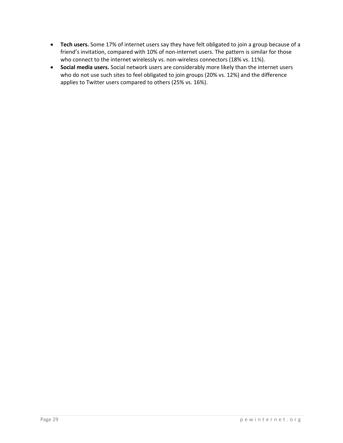- **Tech users.** Some 17% of internet users say they have felt obligated to join a group because of a friend's invitation, compared with 10% of non‐internet users. The pattern is similar for those who connect to the internet wirelessly vs. non-wireless connectors (18% vs. 11%).
- **Social media users.** Social network users are considerably more likely than the internet users who do not use such sites to feel obligated to join groups (20% vs. 12%) and the difference applies to Twitter users compared to others (25% vs. 16%).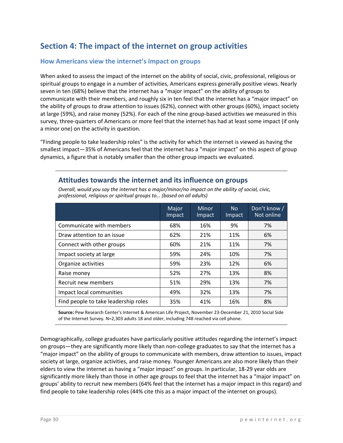# **Section 4: The impact of the internet on group activities**

#### **How Americans view the internet's impact on groups**

When asked to assess the impact of the internet on the ability of social, civic, professional, religious or spiritual groups to engage in a number of activities, Americans express generally positive views. Nearly seven in ten (68%) believe that the internet has a "major impact" on the ability of groups to communicate with their members, and roughly six in ten feel that the internet has a "major impact" on the ability of groups to draw attention to issues (62%), connect with other groups (60%), impact society at large (59%), and raise money (52%). For each of the nine group‐based activities we measured in this survey, three‐quarters of Americans or more feel that the internet has had at least some impact (if only a minor one) on the activity in question.

"Finding people to take leadership roles" is the activity for which the internet is viewed as having the smallest impact—35% of Americans feel that the internet has a "major impact" on this aspect of group dynamics, a figure that is notably smaller than the other group impacts we evaluated.

*Overall, would you say the internet has a major/minor/no impact on the ability of social, civic,*

#### *professional, religious or spiritual groups to… (based on all adults)* Major Impact Minor Impact No Impact Don't know / Not online Communicate with members  $\overline{68\%}$  | 16% | 9% | 7% Draw attention to an issue  $\overline{62\%}$   $\overline{21\%}$   $\overline{11\%}$   $\overline{16\%}$   $\overline{6\%}$ Connect with other groups  $\begin{array}{|c|c|c|c|c|c|c|c|} \hline \text{Connect with other groups} & \multicolumn{1}{|c|}{60\%} & \multicolumn{1}{|c|}{21\%} & \multicolumn{1}{|c|}{11\%} & \multicolumn{1}{|c|}{7\%} \hline \end{array}$ Impact society at large  $\vert$  59%  $\vert$  24%  $\vert$  10%  $\vert$  7% Organize activities 59% 23% 12% 6% Raise money **128 COVENSIS 27% 127% 13% 13%** 8% Recruit new members **1988** 13% 13% 13% 13% Impact local communities 49% 32% 13% 7% Find people to take leadership roles  $\begin{array}{|c|c|c|c|c|c|c|c|} \hline \end{array}$  41%  $\begin{array}{|c|c|c|c|c|c|} \hline \end{array}$  16%  $\begin{array}{|c|c|c|c|c|c|} \hline \end{array}$  8%

**Attitudes towards the internet and its influence on groups**

**Source:** Pew Research Center's Internet & American Life Project, November 23‐December 21, 2010 Social Side

of the Internet Survey. N=2,303 adults 18 and older, including 748 reached via cell phone.

Demographically, college graduates have particularly positive attitudes regarding the internet's impact on groups—they are significantly more likely than non‐college graduates to say that the internet has a "major impact" on the ability of groups to communicate with members, draw attention to issues, impact society at large, organize activities, and raise money. Younger Americans are also more likely than their elders to view the internet as having a "major impact" on groups. In particular, 18‐29 year olds are significantly more likely than those in other age groups to feel that the internet has a "major impact" on groups' ability to recruit new members (64% feel that the internet has a major impact in this regard) and find people to take leadership roles (44% cite this as a major impact of the internet on groups).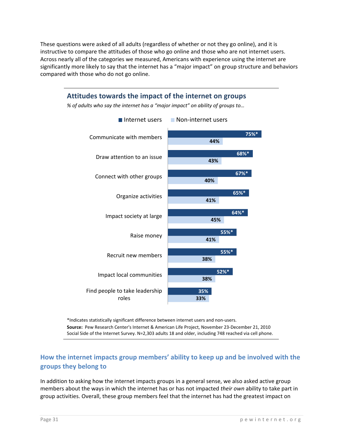These questions were asked of all adults (regardless of whether or not they go online), and it is instructive to compare the attitudes of those who go online and those who are not internet users. Across nearly all of the categories we measured, Americans with experience using the internet are significantly more likely to say that the internet has a "major impact" on group structure and behaviors compared with those who do not go online.



\*Indicates statistically significant difference between internet users and non‐users. **Source:** Pew Research Center's Internet & American Life Project, November 23‐December 21, 2010 Social Side of the Internet Survey. N=2,303 adults 18 and older, including 748 reached via cell phone.

# **How the internet impacts group members' ability to keep up and be involved with the groups they belong to**

In addition to asking how the internet impacts groups in a general sense, we also asked active group members about the ways in which the internet has or has not impacted *their own* ability to take part in group activities. Overall, these group members feel that the internet has had the greatest impact on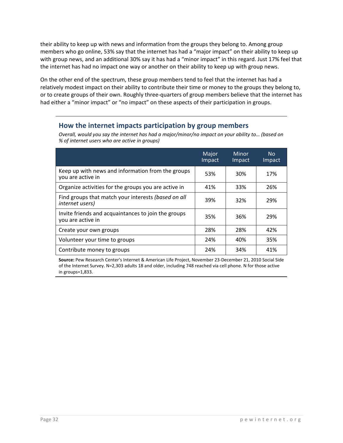their ability to keep up with news and information from the groups they belong to. Among group members who go online, 53% say that the internet has had a "major impact" on their ability to keep up with group news, and an additional 30% say it has had a "minor impact" in this regard. Just 17% feel that the internet has had no impact one way or another on their ability to keep up with group news.

On the other end of the spectrum, these group members tend to feel that the internet has had a relatively modest impact on their ability to contribute their time or money to the groups they belong to, or to create groups of their own. Roughly three‐quarters of group members believe that the internet has had either a "minor impact" or "no impact" on these aspects of their participation in groups.

# **How the internet impacts participation by group members**

*Overall, would you say the internet has had a major/minor/no impact on your ability to… (based on % of internet users who are active in groups)*

|                                                                          | Major<br>Impact | <b>Minor</b><br>Impact | N <sub>o</sub><br>Impact |
|--------------------------------------------------------------------------|-----------------|------------------------|--------------------------|
| Keep up with news and information from the groups<br>you are active in   | 53%             | 30%                    | 17%                      |
| Organize activities for the groups you are active in                     | 41%             | 33%                    | 26%                      |
| Find groups that match your interests (based on all<br>internet users)   | 39%             | 32%                    | 29%                      |
| Invite friends and acquaintances to join the groups<br>you are active in | 35%             | 36%                    | 29%                      |
| Create your own groups                                                   | 28%             | 28%                    | 42%                      |
| Volunteer your time to groups                                            | 24%             | 40%                    | 35%                      |
| Contribute money to groups                                               | 24%             | 34%                    | 41%                      |

**Source:** Pew Research Center's Internet & American Life Project, November 23‐December 21, 2010 Social Side of the Internet Survey. N=2,303 adults 18 and older, including 748 reached via cell phone. N for those active in groups=1,833.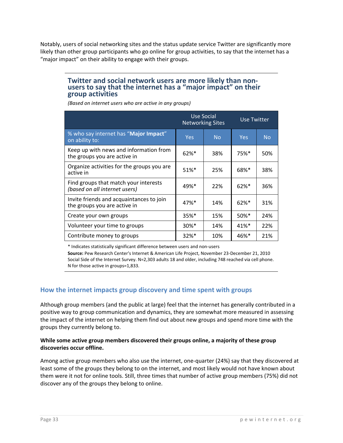Notably, users of social networking sites and the status update service Twitter are significantly more likely than other group participants who go online for group activities, to say that the internet has a "major impact" on their ability to engage with their groups.

# Twitter and social network users are more likely than non-<br>users to say that the internet has a "major impact" on their **group activities**

*(Based on internet users who are active in any groups)*

|                                                                          |                     | Use Social<br><b>Networking Sites</b> | Use Twitter         |           |  |
|--------------------------------------------------------------------------|---------------------|---------------------------------------|---------------------|-----------|--|
| % who say internet has "Major Impact"<br>on ability to:                  | <b>Yes</b>          | <b>No</b>                             | <b>Yes</b>          | <b>No</b> |  |
| Keep up with news and information from<br>the groups you are active in   | $62%$ *             | 38%                                   | $75%$ <sup>*</sup>  | 50%       |  |
| Organize activities for the groups you are<br>active in                  | $51\%$ <sup>*</sup> | 25%                                   | 68%*                | 38%       |  |
| Find groups that match your interests<br>(based on all internet users)   | 49%*                | 22%                                   | $62%$ *             | 36%       |  |
| Invite friends and acquaintances to join<br>the groups you are active in | $47%$ <sup>*</sup>  | 14%                                   | $62%$ *             | 31%       |  |
| Create your own groups                                                   | $35%$ *             | 15%                                   | $50\%$ <sup>*</sup> | 24%       |  |
| Volunteer your time to groups                                            | $30\%$ <sup>*</sup> | 14%                                   | $41\%$ <sup>*</sup> | 22%       |  |
| Contribute money to groups                                               | $32\%$ <sup>*</sup> | 10%                                   | $46%$ *             | 21%       |  |

\* Indicates statistically significant difference between users and non‐users

**Source:** Pew Research Center's Internet & American Life Project, November 23‐December 21, 2010 Social Side of the Internet Survey. N=2,303 adults 18 and older, including 748 reached via cell phone. N for those active in groups=1,833.

#### **How the internet impacts group discovery and time spent with groups**

Although group members (and the public at large) feel that the internet has generally contributed in a positive way to group communication and dynamics, they are somewhat more measured in assessing the impact of the internet on helping them find out about new groups and spend more time with the groups they currently belong to.

#### **While some active group members discovered their groups online, a majority of these group discoveries occur offline.**

Among active group members who also use the internet, one-quarter (24%) say that they discovered at least some of the groups they belong to on the internet, and most likely would not have known about them were it not for online tools. Still, three times that number of active group members (75%) did not discover any of the groups they belong to online.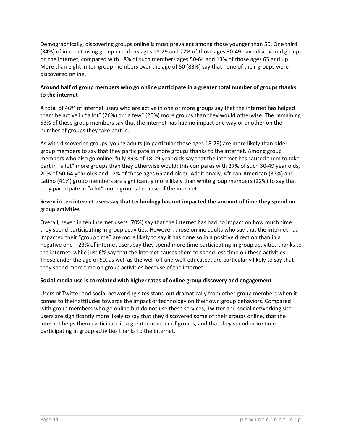Demographically, discovering groups online is most prevalent among those younger than 50. One third (34%) of internet‐using group members ages 18‐29 and 27% of those ages 30‐49 have discovered groups on the internet, compared with 18% of such members ages 50‐64 and 13% of those ages 65 and up. More than eight in ten group members over the age of 50 (83%) say that none of their groups were discovered online.

#### **Around half of group members who go online participate in a greater total number of groups thanks to the internet**

A total of 46% of internet users who are active in one or more groups say that the internet has helped them be active in "a lot" (26%) or "a few" (20%) more groups than they would otherwise. The remaining 53% of these group members say that the internet has had no impact one way or another on the number of groups they take part in.

As with discovering groups, young adults (in particular those ages 18‐29) are more likely than older group members to say that they participate in more groups thanks to the internet. Among group members who also go online, fully 39% of 18‐29 year olds say that the internet has caused them to take part in "a lot" more groups than they otherwise would; this compares with 27% of such 30‐49 year olds, 20% of 50‐64 year olds and 12% of those ages 65 and older. Additionally, African‐American (37%) and Latino (41%) group members are significantly more likely than white group members (22%) to say that they participate in "a lot" more groups because of the internet.

#### **Seven in ten internet users say that technology has not impacted the amount of time they spend on group activities**

Overall, seven in ten internet users (70%) say that the internet has had no impact on how much time they spend participating in group activities. However, those online adults who say that the internet has impacted their "group time" are more likely to say it has done so in a positive direction than in a negative one—23% of internet users say they spend more time participating in group activities thanks to the internet, while just 6% say that the internet causes them to spend less time on these activities. Those under the age of 50, as well as the well‐off and well‐educated, are particularly likely to say that they spend more time on group activities because of the internet.

#### **Social media use is correlated with higher rates of online group discovery and engagement**

Users of Twitter and social networking sites stand out dramatically from other group members when it comes to their attitudes towards the impact of technology on their own group behaviors. Compared with group members who go online but do not use these services, Twitter and social networking site users are significantly more likely to say that they discovered some of their groups online, that the internet helps them participate in a greater number of groups, and that they spend more time participating in group activities thanks to the internet.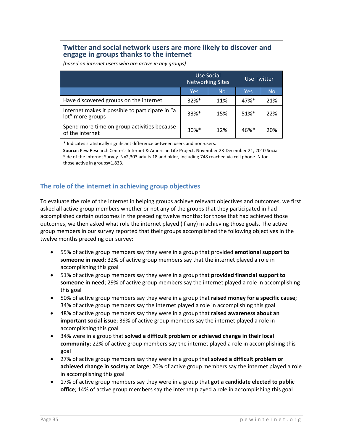#### **Twitter and social network users are more likely to discover and engage in groups thanks to the internet**

Use Social Networking Sites Use Twitter Yes No Yes No Have discovered groups on the internet  $\begin{array}{|c|c|c|c|c|c|c|c|c|} \hline \end{array}$  32%\* | 11% | 47%\* | 21% Internet makes it possible to participate in "a lot" more groups  $\begin{bmatrix} 16 & 33 \end{bmatrix}$   $\begin{bmatrix} 33\% & 15\% \\ 15\% & 51\% \end{bmatrix}$  22% Spend more time on group activities because of the internet  $\left[\begin{array}{c|c}30\% & 12\%\\ \end{array}\right]$  46%\* 20%

*(based on internet users who are active in any groups)*

\* Indicates statistically significant difference between users and non‐users.

**Source:** Pew Research Center's Internet & American Life Project, November 23‐December 21, 2010 Social Side of the Internet Survey. N=2,303 adults 18 and older, including 748 reached via cell phone. N for those active in groups=1,833.

# **The role of the internet in achieving group objectives**

To evaluate the role of the internet in helping groups achieve relevant objectives and outcomes, we first asked all active group members whether or not any of the groups that they participated in had accomplished certain outcomes in the preceding twelve months; for those that had achieved those outcomes, we then asked what role the internet played (if any) in achieving those goals. The active group members in our survey reported that their groups accomplished the following objectives in the twelve months preceding our survey:

- 55% of active group members say they were in a group that provided **emotional support to someone in need**; 32% of active group members say that the internet played a role in accomplishing this goal
- 51% of active group members say they were in a group that **provided financial support to someone in need**; 29% of active group members say the internet played a role in accomplishing this goal
- 50% of active group members say they were in a group that **raised money for a specific cause**; 34% of active group members say the internet played a role in accomplishing this goal
- 48% of active group members say they were in a group that **raised awareness about an important social issue**; 39% of active group members say the internet played a role in accomplishing this goal
- 34% were in a group that **solved a difficult problem or achieved change in their local community**; 22% of active group members say the internet played a role in accomplishing this goal
- 27% of active group members say they were in a group that **solved a difficult problem or achieved change in society at large**; 20% of active group members say the internet played a role in accomplishing this goal
- 17% of active group members say they were in a group that **got a candidate elected to public office**; 14% of active group members say the internet played a role in accomplishing this goal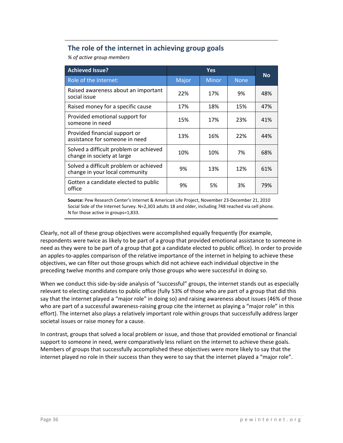# **The role of the internet in achieving group goals**

*% of active group members*

| <b>Achieved Issue?</b>                                                   | <b>Yes</b> |              |             | <b>No</b> |
|--------------------------------------------------------------------------|------------|--------------|-------------|-----------|
| Role of the Internet:                                                    | Major      | <b>Minor</b> | <b>None</b> |           |
| Raised awareness about an important<br>social issue                      | 22%        | 17%          | 9%          | 48%       |
| Raised money for a specific cause                                        | 17%        | 18%          | 15%         | 47%       |
| Provided emotional support for<br>someone in need                        | 15%        | 17%          | 23%         | 41%       |
| Provided financial support or<br>assistance for someone in need          | 13%        | 16%          | 22%         | 44%       |
| Solved a difficult problem or achieved<br>change in society at large     | 10%        | 10%          | 7%          | 68%       |
| Solved a difficult problem or achieved<br>change in your local community | 9%         | 13%          | 12%         | 61%       |
| Gotten a candidate elected to public<br>office                           | 9%         | 5%           | 3%          | 79%       |

**Source:** Pew Research Center's Internet & American Life Project, November 23‐December 21, 2010 Social Side of the Internet Survey. N=2,303 adults 18 and older, including 748 reached via cell phone. N for those active in groups=1,833.

Clearly, not all of these group objectives were accomplished equally frequently (for example, respondents were twice as likely to be part of a group that provided emotional assistance to someone in need as they were to be part of a group that got a candidate elected to public office). In order to provide an apples-to-apples comparison of the relative importance of the internet in helping to achieve these objectives, we can filter out those groups which did not achieve each individual objective in the preceding twelve months and compare only those groups who were successful in doing so.

When we conduct this side-by-side analysis of "successful" groups, the internet stands out as especially relevant to electing candidates to public office (fully 53% of those who are part of a group that did this say that the internet played a "major role" in doing so) and raising awareness about issues (46% of those who are part of a successful awareness-raising group cite the internet as playing a "major role" in this effort). The internet also plays a relatively important role within groups that successfully address larger societal issues or raise money for a cause.

In contrast, groups that solved a local problem or issue, and those that provided emotional or financial support to someone in need, were comparatively less reliant on the internet to achieve these goals. Members of groups that successfully accomplished these objectives were more likely to say that the internet played no role in their success than they were to say that the internet played a "major role".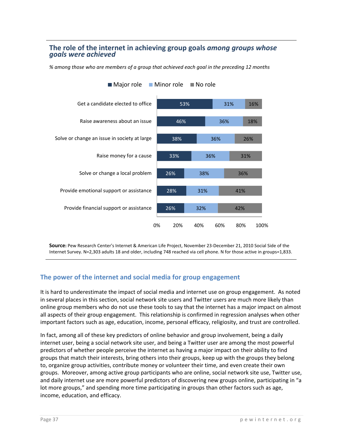#### **The role of the internet in achieving group goals** *among groups whose goals were achieved*

*% among those who are members of a group that achieved each goal in the preceding 12 months*



**Source:** Pew Research Center's Internet & American Life Project, November 23‐December 21, 2010 Social Side of the Internet Survey. N=2,303 adults 18 and older, including 748 reached via cell phone. N for those active in groups=1,833.

# **The power of the internet and social media for group engagement**

It is hard to underestimate the impact of social media and internet use on group engagement. As noted in several places in this section, social network site users and Twitter users are much more likely than online group members who do not use these tools to say that the internet has a major impact on almost all aspects of their group engagement. This relationship is confirmed in regression analyses when other important factors such as age, education, income, personal efficacy, religiosity, and trust are controlled.

In fact, among all of these key predictors of online behavior and group involvement, being a daily internet user, being a social network site user, and being a Twitter user are among the most powerful predictors of whether people perceive the internet as having a major impact on their ability to find groups that match their interests, bring others into their groups, keep up with the groups they belong to, organize group activities, contribute money or volunteer their time, and even create their own groups. Moreover, among active group participants who are online, social network site use, Twitter use, and daily internet use are more powerful predictors of discovering new groups online, participating in "a lot more groups," and spending more time participating in groups than other factors such as age, income, education, and efficacy.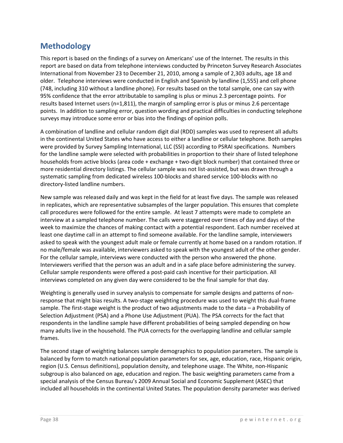# **Methodology**

This report is based on the findings of a survey on Americans' use of the Internet. The results in this report are based on data from telephone interviews conducted by Princeton Survey Research Associates International from November 23 to December 21, 2010, among a sample of 2,303 adults, age 18 and older. Telephone interviews were conducted in English and Spanish by landline (1,555) and cell phone (748, including 310 without a landline phone). For results based on the total sample, one can say with 95% confidence that the error attributable to sampling is plus or minus 2.3 percentage points. For results based Internet users (n=1,811), the margin of sampling error is plus or minus 2.6 percentage points. In addition to sampling error, question wording and practical difficulties in conducting telephone surveys may introduce some error or bias into the findings of opinion polls.

A combination of landline and cellular random digit dial (RDD) samples was used to represent all adults in the continental United States who have access to either a landline or cellular telephone. Both samples were provided by Survey Sampling International, LLC (SSI) according to PSRAI specifications. Numbers for the landline sample were selected with probabilities in proportion to their share of listed telephone households from active blocks (area code + exchange + two-digit block number) that contained three or more residential directory listings. The cellular sample was not list‐assisted, but was drawn through a systematic sampling from dedicated wireless 100‐blocks and shared service 100‐blocks with no directory‐listed landline numbers.

New sample was released daily and was kept in the field for at least five days. The sample was released in replicates, which are representative subsamples of the larger population. This ensures that complete call procedures were followed for the entire sample. At least 7 attempts were made to complete an interview at a sampled telephone number. The calls were staggered over times of day and days of the week to maximize the chances of making contact with a potential respondent. Each number received at least one daytime call in an attempt to find someone available. For the landline sample, interviewers asked to speak with the youngest adult male or female currently at home based on a random rotation. If no male/female was available, interviewers asked to speak with the youngest adult of the other gender. For the cellular sample, interviews were conducted with the person who answered the phone. Interviewers verified that the person was an adult and in a safe place before administering the survey. Cellular sample respondents were offered a post‐paid cash incentive for their participation. All interviews completed on any given day were considered to be the final sample for that day.

Weighting is generally used in survey analysis to compensate for sample designs and patterns of nonresponse that might bias results. A two‐stage weighting procedure was used to weight this dual‐frame sample. The first-stage weight is the product of two adjustments made to the data – a Probability of Selection Adjustment (PSA) and a Phone Use Adjustment (PUA). The PSA corrects for the fact that respondents in the landline sample have different probabilities of being sampled depending on how many adults live in the household. The PUA corrects for the overlapping landline and cellular sample frames.

The second stage of weighting balances sample demographics to population parameters. The sample is balanced by form to match national population parameters for sex, age, education, race, Hispanic origin, region (U.S. Census definitions), population density, and telephone usage. The White, non‐Hispanic subgroup is also balanced on age, education and region. The basic weighting parameters came from a special analysis of the Census Bureau's 2009 Annual Social and Economic Supplement (ASEC) that included all households in the continental United States. The population density parameter was derived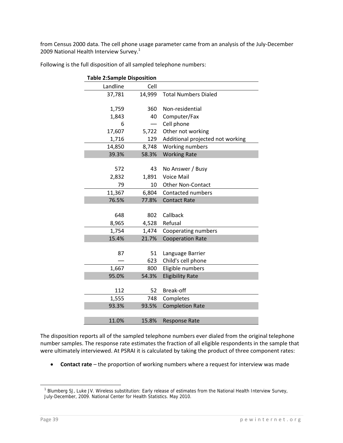from Census 2000 data. The cell phone usage parameter came from an analysis of the July‐December 2009 National Health Interview Survey.<sup>1</sup>

| <b>Table 2:Sample Disposition</b> |        |                                  |
|-----------------------------------|--------|----------------------------------|
| Landline                          | Cell   |                                  |
| 37,781                            | 14,999 | <b>Total Numbers Dialed</b>      |
|                                   |        |                                  |
| 1,759                             | 360    | Non-residential                  |
| 1,843                             | 40     | Computer/Fax                     |
| 6                                 |        | Cell phone                       |
| 17,607                            | 5,722  | Other not working                |
| 1,716                             | 129    | Additional projected not working |
| 14,850                            | 8,748  | Working numbers                  |
| 39.3%                             | 58.3%  | <b>Working Rate</b>              |
|                                   |        |                                  |
| 572                               | 43     | No Answer / Busy                 |
| 2,832                             | 1,891  | <b>Voice Mail</b>                |
| 79                                | 10     | <b>Other Non-Contact</b>         |
| 11,367                            | 6,804  | Contacted numbers                |
| 76.5%                             | 77.8%  | <b>Contact Rate</b>              |
|                                   |        |                                  |
| 648                               | 802    | Callback                         |
| 8,965                             | 4,528  | Refusal                          |
| 1,754                             | 1,474  | Cooperating numbers              |
| 15.4%                             | 21.7%  | <b>Cooperation Rate</b>          |
|                                   |        |                                  |
| 87                                | 51     | Language Barrier                 |
|                                   | 623    | Child's cell phone               |
| 1,667                             | 800    | Eligible numbers                 |
| 95.0%                             | 54.3%  | <b>Eligibility Rate</b>          |
|                                   |        |                                  |
| 112                               | 52     | Break-off                        |
| 1,555                             | 748    | Completes                        |
| 93.3%                             | 93.5%  | <b>Completion Rate</b>           |
|                                   |        |                                  |
| 11.0%                             | 15.8%  | <b>Response Rate</b>             |

Following is the full disposition of all sampled telephone numbers:

The disposition reports all of the sampled telephone numbers ever dialed from the original telephone number samples. The response rate estimates the fraction of all eligible respondents in the sample that were ultimately interviewed. At PSRAI it is calculated by taking the product of three component rates:

**Contact rate** – the proportion of working numbers where a request for interview was made

<sup>&</sup>lt;sup>1</sup> Blumberg SJ, Luke JV. Wireless substitution: Early release of estimates from the National Health Interview Survey, July-December, 2009. National Center for Health Statistics. May 2010.